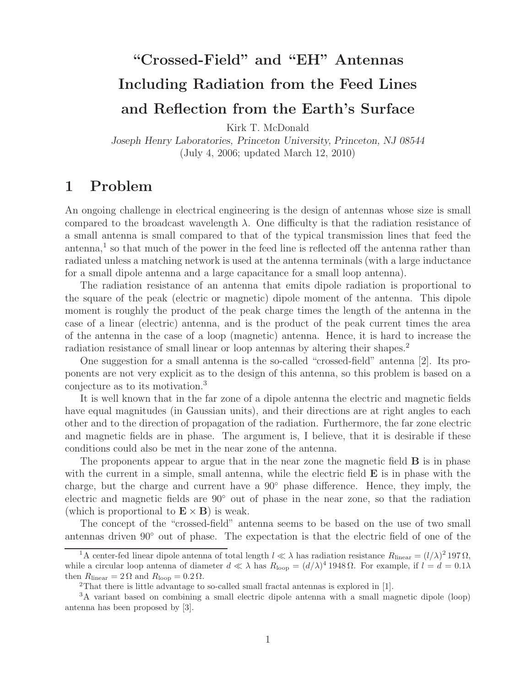# **"Crossed-Field" and "EH" Antennas Including Radiation from the Feed Lines and Reflection from the Earth's Surface**

Kirk T. McDonald

*Joseph Henry Laboratories, Princeton University, Princeton, NJ 08544* (July 4, 2006; updated March 12, 2010)

# **1 Problem**

An ongoing challenge in electrical engineering is the design of antennas whose size is small compared to the broadcast wavelength  $\lambda$ . One difficulty is that the radiation resistance of a small antenna is small compared to that of the typical transmission lines that feed the antenna,<sup>1</sup> so that much of the power in the feed line is reflected off the antenna rather than radiated unless a matching network is used at the antenna terminals (with a large inductance for a small dipole antenna and a large capacitance for a small loop antenna).

The radiation resistance of an antenna that emits dipole radiation is proportional to the square of the peak (electric or magnetic) dipole moment of the antenna. This dipole moment is roughly the product of the peak charge times the length of the antenna in the case of a linear (electric) antenna, and is the product of the peak current times the area of the antenna in the case of a loop (magnetic) antenna. Hence, it is hard to increase the radiation resistance of small linear or loop antennas by altering their shapes.<sup>2</sup>

One suggestion for a small antenna is the so-called "crossed-field" antenna [2]. Its proponents are not very explicit as to the design of this antenna, so this problem is based on a conjecture as to its motivation.<sup>3</sup>

It is well known that in the far zone of a dipole antenna the electric and magnetic fields have equal magnitudes (in Gaussian units), and their directions are at right angles to each other and to the direction of propagation of the radiation. Furthermore, the far zone electric and magnetic fields are in phase. The argument is, I believe, that it is desirable if these conditions could also be met in the near zone of the antenna.

The proponents appear to argue that in the near zone the magnetic field **B** is in phase with the current in a simple, small antenna, while the electric field **E** is in phase with the charge, but the charge and current have a 90◦ phase difference. Hence, they imply, the electric and magnetic fields are 90◦ out of phase in the near zone, so that the radiation (which is proportional to  $\mathbf{E} \times \mathbf{B}$ ) is weak.

The concept of the "crossed-field" antenna seems to be based on the use of two small antennas driven 90◦ out of phase. The expectation is that the electric field of one of the

<sup>&</sup>lt;sup>1</sup>A center-fed linear dipole antenna of total length  $l \ll \lambda$  has radiation resistance  $R_{\text{linear}} = (l/\lambda)^2 197 \Omega$ , while a circular loop antenna of diameter  $d \ll \lambda$  has  $R_{\text{loop}} = (d/\lambda)^4 1948 \Omega$ . For example, if  $l = d = 0.1 \lambda$ then  $R_{\text{linear}} = 2 \Omega$  and  $R_{\text{loop}} = 0.2 \Omega$ .

<sup>2</sup>That there is little advantage to so-called small fractal antennas is explored in [1].

<sup>3</sup>A variant based on combining a small electric dipole antenna with a small magnetic dipole (loop) antenna has been proposed by [3].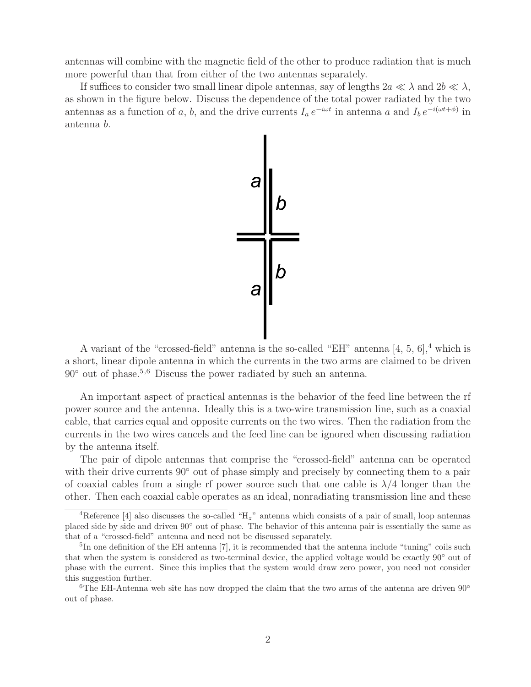antennas will combine with the magnetic field of the other to produce radiation that is much more powerful than that from either of the two antennas separately.

If suffices to consider two small linear dipole antennas, say of lengths  $2a \ll \lambda$  and  $2b \ll \lambda$ , as shown in the figure below. Discuss the dependence of the total power radiated by the two antennas as a function of a, b, and the drive currents  $I_a e^{-i\omega t}$  in antenna a and  $I_b e^{-i(\omega t+\phi)}$  in antenna b.



A variant of the "crossed-field" antenna is the so-called "EH" antenna  $[4, 5, 6]$ ,<sup>4</sup> which is a short, linear dipole antenna in which the currents in the two arms are claimed to be driven  $90°$  out of phase.<sup>5,6</sup> Discuss the power radiated by such an antenna.

An important aspect of practical antennas is the behavior of the feed line between the rf power source and the antenna. Ideally this is a two-wire transmission line, such as a coaxial cable, that carries equal and opposite currents on the two wires. Then the radiation from the currents in the two wires cancels and the feed line can be ignored when discussing radiation by the antenna itself.

The pair of dipole antennas that comprise the "crossed-field" antenna can be operated with their drive currents 90° out of phase simply and precisely by connecting them to a pair of coaxial cables from a single rf power source such that one cable is  $\lambda/4$  longer than the other. Then each coaxial cable operates as an ideal, nonradiating transmission line and these

<sup>&</sup>lt;sup>4</sup>Reference [4] also discusses the so-called "H<sub>z</sub>" antenna which consists of a pair of small, loop antennas placed side by side and driven 90◦ out of phase. The behavior of this antenna pair is essentially the same as that of a "crossed-field" antenna and need not be discussed separately.

<sup>&</sup>lt;sup>5</sup>In one definition of the EH antenna [7], it is recommended that the antenna include "tuning" coils such that when the system is considered as two-terminal device, the applied voltage would be exactly 90◦ out of phase with the current. Since this implies that the system would draw zero power, you need not consider this suggestion further.

<sup>&</sup>lt;sup>6</sup>The EH-Antenna web site has now dropped the claim that the two arms of the antenna are driven  $90^{\circ}$ out of phase.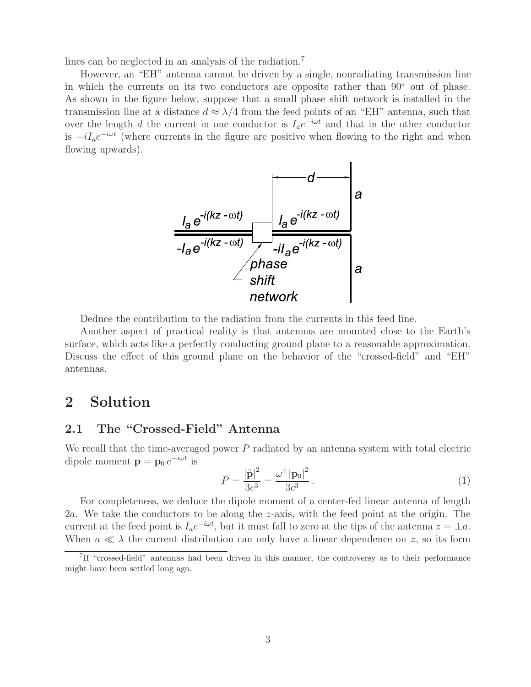lines can be neglected in an analysis of the radiation.<sup>7</sup>

However, an "EH" antenna cannot be driven by a single, nonradiating transmission line in which the currents on its two conductors are opposite rather than 90◦ out of phase. As shown in the figure below, suppose that a small phase shift network is installed in the transmission line at a distance  $d \approx \lambda/4$  from the feed points of an "EH" antenna, such that over the length d the current in one conductor is  $I_a e^{-i\omega t}$  and that in the other conductor is  $-iI_ae^{-i\omega t}$  (where currents in the figure are positive when flowing to the right and when flowing upwards).



Deduce the contribution to the radiation from the currents in this feed line.

Another aspect of practical reality is that antennas are mounted close to the Earth's surface, which acts like a perfectly conducting ground plane to a reasonable approximation. Discuss the effect of this ground plane on the behavior of the "crossed-field" and "EH" antennas.

# **2 Solution**

#### **2.1 The "Crossed-Field" Antenna**

We recall that the time-averaged power  $P$  radiated by an antenna system with total electric dipole moment  $\mathbf{p} = \mathbf{p}_0 e^{-i\omega t}$  is

$$
P = \frac{|\ddot{\mathbf{p}}|^2}{3c^3} = \frac{\omega^4 |\mathbf{p}_0|^2}{3c^3}.
$$
 (1)

For completeness, we deduce the dipole moment of a center-fed linear antenna of length 2a. We take the conductors to be along the z-axis, with the feed point at the origin. The current at the feed point is  $I_a e^{-i\omega t}$ , but it must fall to zero at the tips of the antenna  $z = \pm a$ . When  $a \ll \lambda$  the current distribution can only have a linear dependence on z, so its form

<sup>7</sup>If "crossed-field" antennas had been driven in this manner, the controversy as to their performance might have been settled long ago.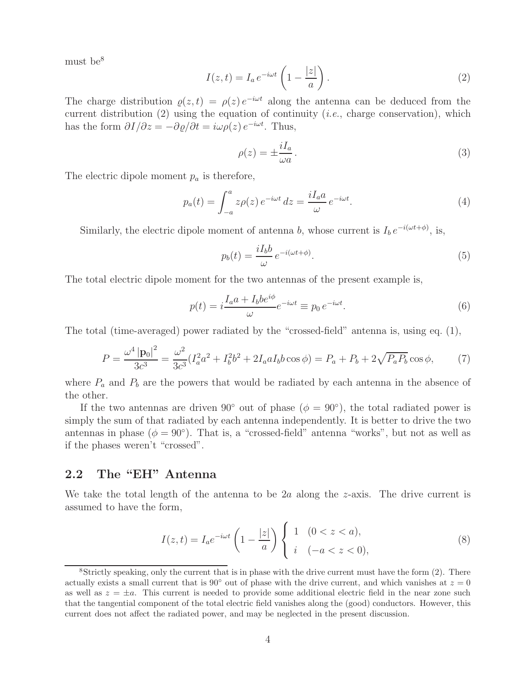must be<sup>8</sup>

$$
I(z,t) = I_a e^{-i\omega t} \left( 1 - \frac{|z|}{a} \right).
$$
 (2)

The charge distribution  $\varrho(z, t) = \rho(z) e^{-i\omega t}$  along the antenna can be deduced from the current distribution (2) using the equation of continuity (*i.e.*, charge conservation), which has the form  $\partial I/\partial z = -\partial \varrho/\partial t = i\omega \rho(z) e^{-i\omega t}$ . Thus,

$$
\rho(z) = \pm \frac{iI_a}{\omega a}.\tag{3}
$$

The electric dipole moment  $p_a$  is therefore,

$$
p_a(t) = \int_{-a}^{a} z \rho(z) e^{-i\omega t} dz = \frac{iI_a a}{\omega} e^{-i\omega t}.
$$
 (4)

Similarly, the electric dipole moment of antenna b, whose current is  $I_b e^{-i(\omega t + \phi)}$ , is,

$$
p_b(t) = \frac{iI_b b}{\omega} e^{-i(\omega t + \phi)}.
$$
\n(5)

The total electric dipole moment for the two antennas of the present example is,

$$
p(t) = i \frac{I_a a + I_b b e^{i\phi}}{\omega} e^{-i\omega t} \equiv p_0 e^{-i\omega t}.
$$
 (6)

The total (time-averaged) power radiated by the "crossed-field" antenna is, using eq. (1),

$$
P = \frac{\omega^4 \left| \mathbf{p}_0 \right|^2}{3c^3} = \frac{\omega^2}{3c^3} (I_a^2 a^2 + I_b^2 b^2 + 2I_a a I_b b \cos \phi) = P_a + P_b + 2\sqrt{P_a P_b} \cos \phi, \tag{7}
$$

where  $P_a$  and  $P_b$  are the powers that would be radiated by each antenna in the absence of the other.

If the two antennas are driven 90° out of phase ( $\phi = 90^{\circ}$ ), the total radiated power is simply the sum of that radiated by each antenna independently. It is better to drive the two antennas in phase ( $\phi = 90^{\circ}$ ). That is, a "crossed-field" antenna "works", but not as well as if the phases weren't "crossed".

### **2.2 The "EH" Antenna**

We take the total length of the antenna to be 2a along the  $z$ -axis. The drive current is assumed to have the form,

$$
I(z,t) = I_a e^{-i\omega t} \left(1 - \frac{|z|}{a}\right) \begin{cases} 1 & (0 < z < a), \\ i & (-a < z < 0), \end{cases}
$$
 (8)

 $8$ Strictly speaking, only the current that is in phase with the drive current must have the form  $(2)$ . There actually exists a small current that is 90 $\degree$  out of phase with the drive current, and which vanishes at  $z = 0$ as well as  $z = \pm a$ . This current is needed to provide some additional electric field in the near zone such that the tangential component of the total electric field vanishes along the (good) conductors. However, this current does not affect the radiated power, and may be neglected in the present discussion.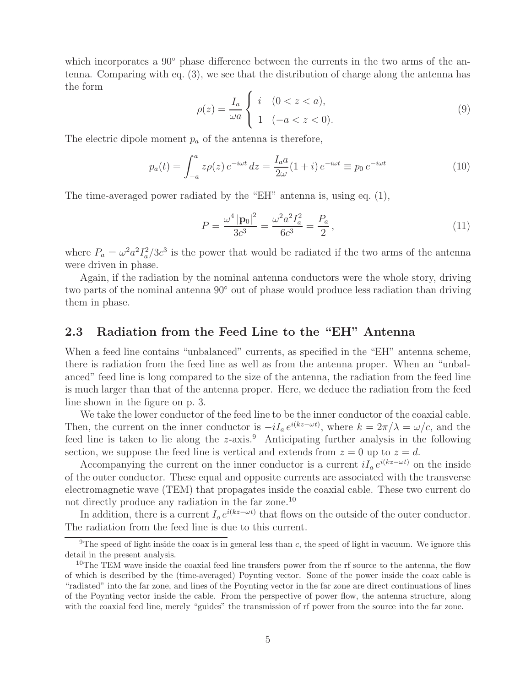which incorporates a 90° phase difference between the currents in the two arms of the antenna. Comparing with eq. (3), we see that the distribution of charge along the antenna has the form

$$
\rho(z) = \frac{I_a}{\omega a} \begin{cases} i & (0 < z < a), \\ 1 & (-a < z < 0). \end{cases}
$$
 (9)

The electric dipole moment  $p_a$  of the antenna is therefore,

$$
p_a(t) = \int_{-a}^{a} z \rho(z) e^{-i\omega t} dz = \frac{I_a a}{2\omega} (1+i) e^{-i\omega t} \equiv p_0 e^{-i\omega t}
$$
 (10)

The time-averaged power radiated by the "EH" antenna is, using eq. (1),

$$
P = \frac{\omega^4 \left| \mathbf{p}_0 \right|^2}{3c^3} = \frac{\omega^2 a^2 I_a^2}{6c^3} = \frac{P_a}{2},\tag{11}
$$

where  $P_a = \omega^2 a^2 I_a^2/3c^3$  is the power that would be radiated if the two arms of the antenna were driven in phase.

Again, if the radiation by the nominal antenna conductors were the whole story, driving two parts of the nominal antenna 90◦ out of phase would produce less radiation than driving them in phase.

#### **2.3 Radiation from the Feed Line to the "EH" Antenna**

When a feed line contains "unbalanced" currents, as specified in the "EH" antenna scheme, there is radiation from the feed line as well as from the antenna proper. When an "unbalanced" feed line is long compared to the size of the antenna, the radiation from the feed line is much larger than that of the antenna proper. Here, we deduce the radiation from the feed line shown in the figure on p. 3.

We take the lower conductor of the feed line to be the inner conductor of the coaxial cable. Then, the current on the inner conductor is  $-iI_a e^{i(kz-\omega t)}$ , where  $k = 2\pi/\lambda = \omega/c$ , and the feed line is taken to lie along the  $z$ -axis.<sup>9</sup> Anticipating further analysis in the following section, we suppose the feed line is vertical and extends from  $z = 0$  up to  $z = d$ .

Accompanying the current on the inner conductor is a current  $iI_a e^{i(kz-\omega t)}$  on the inside of the outer conductor. These equal and opposite currents are associated with the transverse electromagnetic wave (TEM) that propagates inside the coaxial cable. These two current do not directly produce any radiation in the far zone.<sup>10</sup>

In addition, there is a current  $I_0 e^{i(kz-\omega t)}$  that flows on the outside of the outer conductor. The radiation from the feed line is due to this current.

 $9$ The speed of light inside the coax is in general less than c, the speed of light in vacuum. We ignore this detail in the present analysis.

<sup>&</sup>lt;sup>10</sup>The TEM wave inside the coaxial feed line transfers power from the rf source to the antenna, the flow of which is described by the (time-averaged) Poynting vector. Some of the power inside the coax cable is "radiated" into the far zone, and lines of the Poynting vector in the far zone are direct continuations of lines of the Poynting vector inside the cable. From the perspective of power flow, the antenna structure, along with the coaxial feed line, merely "guides" the transmission of rf power from the source into the far zone.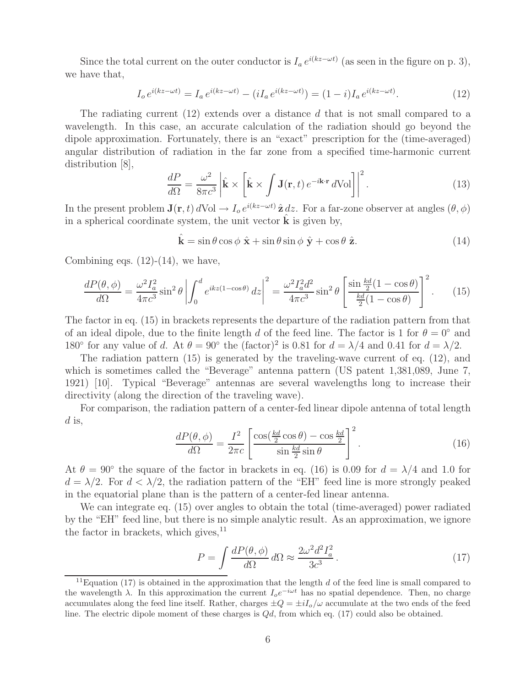Since the total current on the outer conductor is  $I_a e^{i(kz-\omega t)}$  (as seen in the figure on p. 3), we have that,

$$
I_o e^{i(kz - \omega t)} = I_a e^{i(kz - \omega t)} - (iI_a e^{i(kz - \omega t)}) = (1 - i)I_a e^{i(kz - \omega t)}.
$$
 (12)

The radiating current (12) extends over a distance d that is not small compared to a wavelength. In this case, an accurate calculation of the radiation should go beyond the dipole approximation. Fortunately, there is an "exact" prescription for the (time-averaged) angular distribution of radiation in the far zone from a specified time-harmonic current distribution [8],

$$
\frac{dP}{d\Omega} = \frac{\omega^2}{8\pi c^3} \left| \hat{\mathbf{k}} \times \left[ \hat{\mathbf{k}} \times \int \mathbf{J}(\mathbf{r}, t) e^{-i\mathbf{k} \cdot \mathbf{r}} d\text{Vol} \right] \right|^2.
$$
 (13)

In the present problem  $\mathbf{J}(\mathbf{r}, t) dVol \to I_0 e^{i(kz-\omega t)} \hat{\mathbf{z}} dz$ . For a far-zone observer at angles  $(\theta, \phi)$ in a spherical coordinate system, the unit vector  $\bf{k}$  is given by,

$$
\hat{\mathbf{k}} = \sin \theta \cos \phi \ \hat{\mathbf{x}} + \sin \theta \sin \phi \ \hat{\mathbf{y}} + \cos \theta \ \hat{\mathbf{z}}.
$$
 (14)

Combining eqs.  $(12)-(14)$ , we have,

$$
\frac{dP(\theta,\phi)}{d\Omega} = \frac{\omega^2 I_a^2}{4\pi c^3} \sin^2 \theta \left| \int_0^d e^{ikz(1-\cos\theta)} dz \right|^2 = \frac{\omega^2 I_a^2 d^2}{4\pi c^3} \sin^2 \theta \left[ \frac{\sin\frac{kd}{2}(1-\cos\theta)}{\frac{kd}{2}(1-\cos\theta)} \right]^2.
$$
 (15)

The factor in eq. (15) in brackets represents the departure of the radiation pattern from that of an ideal dipole, due to the finite length d of the feed line. The factor is 1 for  $\theta = 0^{\circ}$  and 180° for any value of d. At  $\theta = 90^\circ$  the (factor)<sup>2</sup> is 0.81 for  $d = \lambda/4$  and 0.41 for  $d = \lambda/2$ .

The radiation pattern (15) is generated by the traveling-wave current of eq. (12), and which is sometimes called the "Beverage" antenna pattern (US patent 1,381,089, June 7, 1921) [10]. Typical "Beverage" antennas are several wavelengths long to increase their directivity (along the direction of the traveling wave).

For comparison, the radiation pattern of a center-fed linear dipole antenna of total length  $d$  is,

$$
\frac{dP(\theta,\phi)}{d\Omega} = \frac{I^2}{2\pi c} \left[ \frac{\cos(\frac{kd}{2}\cos\theta) - \cos\frac{kd}{2}}{\sin\frac{kd}{2}\sin\theta} \right]^2.
$$
 (16)

At  $\theta = 90^{\circ}$  the square of the factor in brackets in eq. (16) is 0.09 for  $d = \lambda/4$  and 1.0 for  $d = \lambda/2$ . For  $d < \lambda/2$ , the radiation pattern of the "EH" feed line is more strongly peaked in the equatorial plane than is the pattern of a center-fed linear antenna.

We can integrate eq. (15) over angles to obtain the total (time-averaged) power radiated by the "EH" feed line, but there is no simple analytic result. As an approximation, we ignore the factor in brackets, which gives,  $^{11}$ 

$$
P = \int \frac{dP(\theta, \phi)}{d\Omega} d\Omega \approx \frac{2\omega^2 d^2 I_a^2}{3c^3} \,. \tag{17}
$$

<sup>&</sup>lt;sup>11</sup>Equation (17) is obtained in the approximation that the length  $d$  of the feed line is small compared to the wavelength  $\lambda$ . In this approximation the current  $I_0e^{-i\omega t}$  has no spatial dependence. Then, no charge accumulates along the feed line itself. Rather, charges  $\pm Q = \pm iI_o/\omega$  accumulate at the two ends of the feed line. The electric dipole moment of these charges is Qd, from which eq. (17) could also be obtained.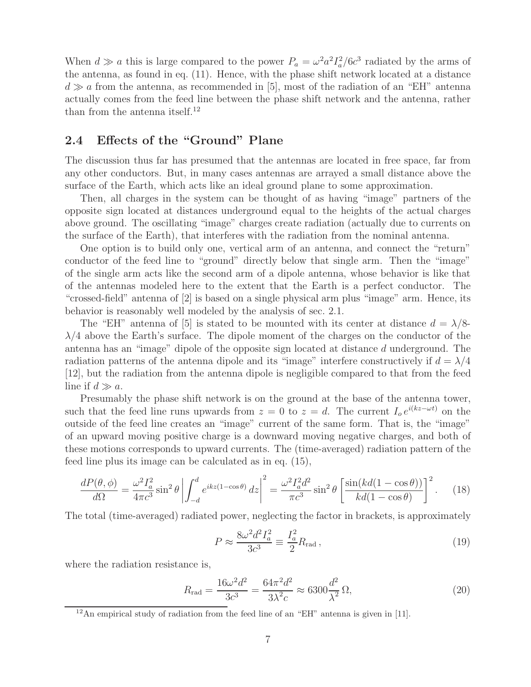When  $d \gg a$  this is large compared to the power  $P_a = \omega^2 a^2 I_a^2 / 6c^3$  radiated by the arms of the antenna, as found in eq. (11). Hence, with the phase shift network located at a distance  $d \gg a$  from the antenna, as recommended in [5], most of the radiation of an "EH" antenna actually comes from the feed line between the phase shift network and the antenna, rather than from the antenna itself.<sup>12</sup>

## **2.4 Effects of the "Ground" Plane**

The discussion thus far has presumed that the antennas are located in free space, far from any other conductors. But, in many cases antennas are arrayed a small distance above the surface of the Earth, which acts like an ideal ground plane to some approximation.

Then, all charges in the system can be thought of as having "image" partners of the opposite sign located at distances underground equal to the heights of the actual charges above ground. The oscillating "image" charges create radiation (actually due to currents on the surface of the Earth), that interferes with the radiation from the nominal antenna.

One option is to build only one, vertical arm of an antenna, and connect the "return" conductor of the feed line to "ground" directly below that single arm. Then the "image" of the single arm acts like the second arm of a dipole antenna, whose behavior is like that of the antennas modeled here to the extent that the Earth is a perfect conductor. The "crossed-field" antenna of [2] is based on a single physical arm plus "image" arm. Hence, its behavior is reasonably well modeled by the analysis of sec. 2.1.

The "EH" antenna of [5] is stated to be mounted with its center at distance  $d = \lambda/8$ - $\lambda/4$  above the Earth's surface. The dipole moment of the charges on the conductor of the antenna has an "image" dipole of the opposite sign located at distance d underground. The radiation patterns of the antenna dipole and its "image" interfere constructively if  $d = \lambda/4$ [12], but the radiation from the antenna dipole is negligible compared to that from the feed line if  $d \gg a$ .

Presumably the phase shift network is on the ground at the base of the antenna tower, such that the feed line runs upwards from  $z = 0$  to  $z = d$ . The current  $I_0 e^{i(kz - \omega t)}$  on the outside of the feed line creates an "image" current of the same form. That is, the "image" of an upward moving positive charge is a downward moving negative charges, and both of these motions corresponds to upward currents. The (time-averaged) radiation pattern of the feed line plus its image can be calculated as in eq. (15),

$$
\frac{dP(\theta,\phi)}{d\Omega} = \frac{\omega^2 I_a^2}{4\pi c^3} \sin^2 \theta \left| \int_{-d}^d e^{ikz(1-\cos\theta)} dz \right|^2 = \frac{\omega^2 I_a^2 d^2}{\pi c^3} \sin^2 \theta \left[ \frac{\sin(kd(1-\cos\theta))}{kd(1-\cos\theta)} \right]^2. \tag{18}
$$

The total (time-averaged) radiated power, neglecting the factor in brackets, is approximately

$$
P \approx \frac{8\omega^2 d^2 I_a^2}{3c^3} \equiv \frac{I_a^2}{2} R_{\text{rad}} \,, \tag{19}
$$

where the radiation resistance is,

$$
R_{\rm rad} = \frac{16\omega^2 d^2}{3c^3} = \frac{64\pi^2 d^2}{3\lambda^2 c} \approx 6300 \frac{d^2}{\lambda^2} \Omega,
$$
\n(20)

 $12$ An empirical study of radiation from the feed line of an "EH" antenna is given in [11].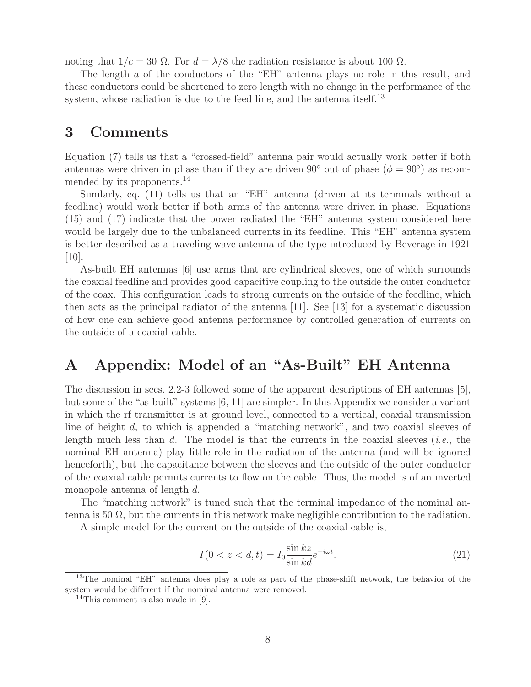noting that  $1/c = 30 \Omega$ . For  $d = \lambda/8$  the radiation resistance is about 100  $\Omega$ .

The length a of the conductors of the "EH" antenna plays no role in this result, and these conductors could be shortened to zero length with no change in the performance of the system, whose radiation is due to the feed line, and the antenna itself.<sup>13</sup>

## **3 Comments**

Equation (7) tells us that a "crossed-field" antenna pair would actually work better if both antennas were driven in phase than if they are driven 90° out of phase ( $\phi = 90^{\circ}$ ) as recommended by its proponents.<sup>14</sup>

Similarly, eq. (11) tells us that an "EH" antenna (driven at its terminals without a feedline) would work better if both arms of the antenna were driven in phase. Equations (15) and (17) indicate that the power radiated the "EH" antenna system considered here would be largely due to the unbalanced currents in its feedline. This "EH" antenna system is better described as a traveling-wave antenna of the type introduced by Beverage in 1921  $[10]$ .

As-built EH antennas [6] use arms that are cylindrical sleeves, one of which surrounds the coaxial feedline and provides good capacitive coupling to the outside the outer conductor of the coax. This configuration leads to strong currents on the outside of the feedline, which then acts as the principal radiator of the antenna [11]. See [13] for a systematic discussion of how one can achieve good antenna performance by controlled generation of currents on the outside of a coaxial cable.

# **A Appendix: Model of an "As-Built" EH Antenna**

The discussion in secs. 2.2-3 followed some of the apparent descriptions of EH antennas [5], but some of the "as-built" systems [6, 11] are simpler. In this Appendix we consider a variant in which the rf transmitter is at ground level, connected to a vertical, coaxial transmission line of height d, to which is appended a "matching network", and two coaxial sleeves of length much less than d. The model is that the currents in the coaxial sleeves (*i.e.*, the nominal EH antenna) play little role in the radiation of the antenna (and will be ignored henceforth), but the capacitance between the sleeves and the outside of the outer conductor of the coaxial cable permits currents to flow on the cable. Thus, the model is of an inverted monopole antenna of length d.

The "matching network" is tuned such that the terminal impedance of the nominal antenna is 50  $\Omega$ , but the currents in this network make negligible contribution to the radiation.

A simple model for the current on the outside of the coaxial cable is,

$$
I(0 < z < d, t) = I_0 \frac{\sin kz}{\sin kd} e^{-i\omega t}.
$$
\n(21)

<sup>&</sup>lt;sup>13</sup>The nominal "EH" antenna does play a role as part of the phase-shift network, the behavior of the system would be different if the nominal antenna were removed.

<sup>&</sup>lt;sup>14</sup>This comment is also made in [9].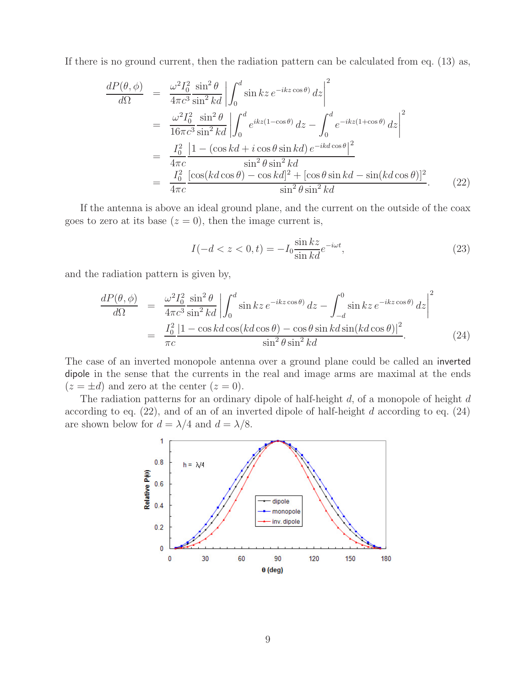If there is no ground current, then the radiation pattern can be calculated from eq. (13) as,

$$
\frac{dP(\theta,\phi)}{d\Omega} = \frac{\omega^2 I_0^2 \sin^2 \theta}{4\pi c^3 \sin^2 kd} \left| \int_0^d \sin kz \, e^{-ikz \cos \theta} \, dz \right|^2
$$
  
\n
$$
= \frac{\omega^2 I_0^2 \sin^2 \theta}{16\pi c^3 \sin^2 kd} \left| \int_0^d e^{ikz(1-\cos\theta)} \, dz - \int_0^d e^{-ikz(1+\cos\theta)} \, dz \right|^2
$$
  
\n
$$
= \frac{I_0^2}{4\pi c} \frac{\left| 1 - (\cos kd + i \cos \theta \sin kd) e^{-ikd \cos \theta} \right|^2}{\sin^2 \theta \sin^2 kd}
$$
  
\n
$$
= \frac{I_0^2}{4\pi c} \frac{[\cos(kd \cos \theta) - \cos kd]^2 + [\cos \theta \sin kd - \sin(kd \cos \theta)]^2}{\sin^2 \theta \sin^2 kd}.
$$
 (22)

If the antenna is above an ideal ground plane, and the current on the outside of the coax goes to zero at its base  $(z = 0)$ , then the image current is,

$$
I(-d < z < 0, t) = -I_0 \frac{\sin kz}{\sin kd} e^{-i\omega t},\qquad(23)
$$

and the radiation pattern is given by,

$$
\frac{dP(\theta,\phi)}{d\Omega} = \frac{\omega^2 I_0^2 \sin^2 \theta}{4\pi c^3 \sin^2 kd} \left| \int_0^d \sin kz \, e^{-ikz \cos \theta} \, dz - \int_{-d}^0 \sin kz \, e^{-ikz \cos \theta} \, dz \right|^2
$$
\n
$$
= \frac{I_0^2}{\pi c} \frac{|1 - \cos kd \cos(kd \cos \theta) - \cos \theta \sin kd \sin(kd \cos \theta)|^2}{\sin^2 \theta \sin^2 kd}.
$$
\n(24)

The case of an inverted monopole antenna over a ground plane could be called an inverted dipole in the sense that the currents in the real and image arms are maximal at the ends  $(z = \pm d)$  and zero at the center  $(z = 0)$ .

The radiation patterns for an ordinary dipole of half-height  $d$ , of a monopole of height  $d$ according to eq.  $(22)$ , and of an of an inverted dipole of half-height d according to eq.  $(24)$ are shown below for  $d = \lambda/4$  and  $d = \lambda/8$ .

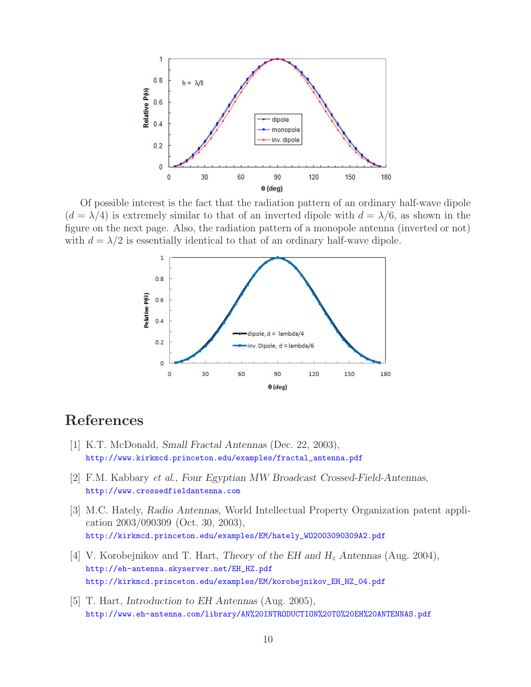

Of possible interest is the fact that the radiation pattern of an ordinary half-wave dipole  $(d = \lambda/4)$  is extremely similar to that of an inverted dipole with  $d = \lambda/6$ , as shown in the figure on the next page. Also, the radiation pattern of a monopole antenna (inverted or not) with  $d = \lambda/2$  is essentially identical to that of an ordinary half-wave dipole.



# **References**

- [1] K.T. McDonald, *Small Fractal Antennas* (Dec. 22, 2003), http://www.kirkmcd.princeton.edu/examples/fractal\_antenna.pdf
- [2] F.M. Kabbary *et al.*, *Four Egyptian MW Broadcast Crossed-Field-Antennas*, http://www.crossedfieldantenna.com
- [3] M.C. Hately, *Radio Antennas*, World Intellectual Property Organization patent application 2003/090309 (Oct. 30, 2003), http://kirkmcd.princeton.edu/examples/EM/hately\_WO2003090309A2.pdf
- [4] V. Korobejnikov and T. Hart, *Theory of the EH and H*<sup>z</sup> *Antennas* (Aug. 2004), http://eh-antenna.skyserver.net/EH\_HZ.pdf http://kirkmcd.princeton.edu/examples/EM/korobejnikov\_EH\_HZ\_04.pdf
- [5] T. Hart, *Introduction to EH Antennas* (Aug. 2005), http://www.eh-antenna.com/library/AN%20INTRODUCTION%20TO%20EH%20ANTENNAS.pdf